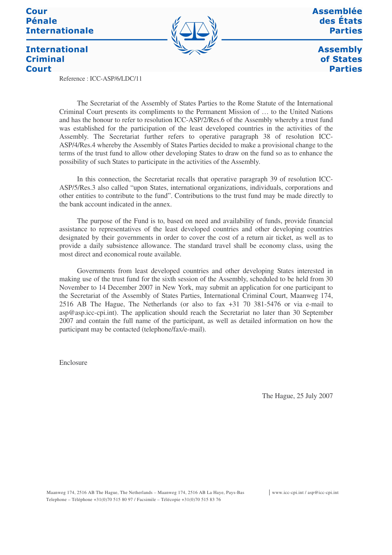## **Cour Pénale Internationale**



**Assemblée** des États **Parties** 

> **Assembly** of States **Parties**

## **International Criminal Court**

Reference : ICC-ASP/6/LDC/11

The Secretariat of the Assembly of States Parties to the Rome Statute of the International Criminal Court presents its compliments to the Permanent Mission of … to the United Nations and has the honour to refer to resolution ICC-ASP/2/Res.6 of the Assembly whereby a trust fund was established for the participation of the least developed countries in the activities of the Assembly. The Secretariat further refers to operative paragraph 38 of resolution ICC-ASP/4/Res.4 whereby the Assembly of States Parties decided to make a provisional change to the terms of the trust fund to allow other developing States to draw on the fund so as to enhance the possibility of such States to participate in the activities of the Assembly.

In this connection, the Secretariat recalls that operative paragraph 39 of resolution ICC-ASP/5/Res.3 also called "upon States, international organizations, individuals, corporations and other entities to contribute to the fund". Contributions to the trust fund may be made directly to the bank account indicated in the annex.

The purpose of the Fund is to, based on need and availability of funds, provide financial assistance to representatives of the least developed countries and other developing countries designated by their governments in order to cover the cost of a return air ticket, as well as to provide a daily subsistence allowance. The standard travel shall be economy class, using the most direct and economical route available.

Governments from least developed countries and other developing States interested in making use of the trust fund for the sixth session of the Assembly, scheduled to be held from 30 November to 14 December 2007 in New York, may submit an application for one participant to the Secretariat of the Assembly of States Parties, International Criminal Court, Maanweg 174, 2516 AB The Hague, The Netherlands (or also to fax +31 70 381-5476 or via e-mail to asp@asp.icc-cpi.int). The application should reach the Secretariat no later than 30 September 2007 and contain the full name of the participant, as well as detailed information on how the participant may be contacted (telephone/fax/e-mail).

Enclosure

The Hague, 25 July 2007